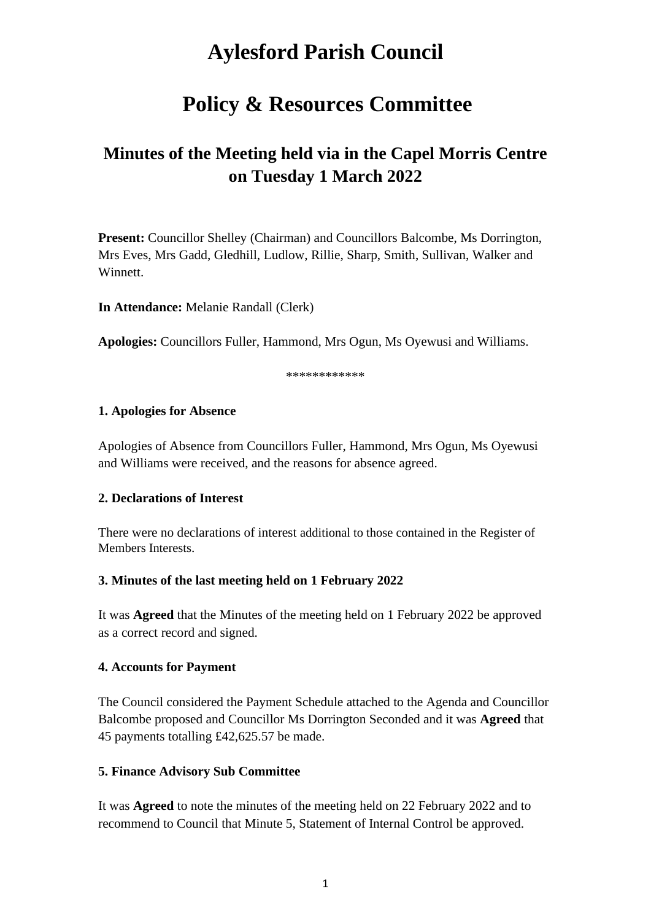# **Aylesford Parish Council**

## **Policy & Resources Committee**

## **Minutes of the Meeting held via in the Capel Morris Centre on Tuesday 1 March 2022**

**Present:** Councillor Shelley (Chairman) and Councillors Balcombe, Ms Dorrington, Mrs Eves, Mrs Gadd, Gledhill, Ludlow, Rillie, Sharp, Smith, Sullivan, Walker and Winnett.

**In Attendance:** Melanie Randall (Clerk)

**Apologies:** Councillors Fuller, Hammond, Mrs Ogun, Ms Oyewusi and Williams.

\*\*\*\*\*\*\*\*\*\*\*\*

#### **1. Apologies for Absence**

Apologies of Absence from Councillors Fuller, Hammond, Mrs Ogun, Ms Oyewusi and Williams were received, and the reasons for absence agreed.

#### **2. Declarations of Interest**

There were no declarations of interest additional to those contained in the Register of Members Interests.

### **3. Minutes of the last meeting held on 1 February 2022**

It was **Agreed** that the Minutes of the meeting held on 1 February 2022 be approved as a correct record and signed.

#### **4. Accounts for Payment**

The Council considered the Payment Schedule attached to the Agenda and Councillor Balcombe proposed and Councillor Ms Dorrington Seconded and it was **Agreed** that 45 payments totalling £42,625.57 be made.

## **5. Finance Advisory Sub Committee**

It was **Agreed** to note the minutes of the meeting held on 22 February 2022 and to recommend to Council that Minute 5, Statement of Internal Control be approved.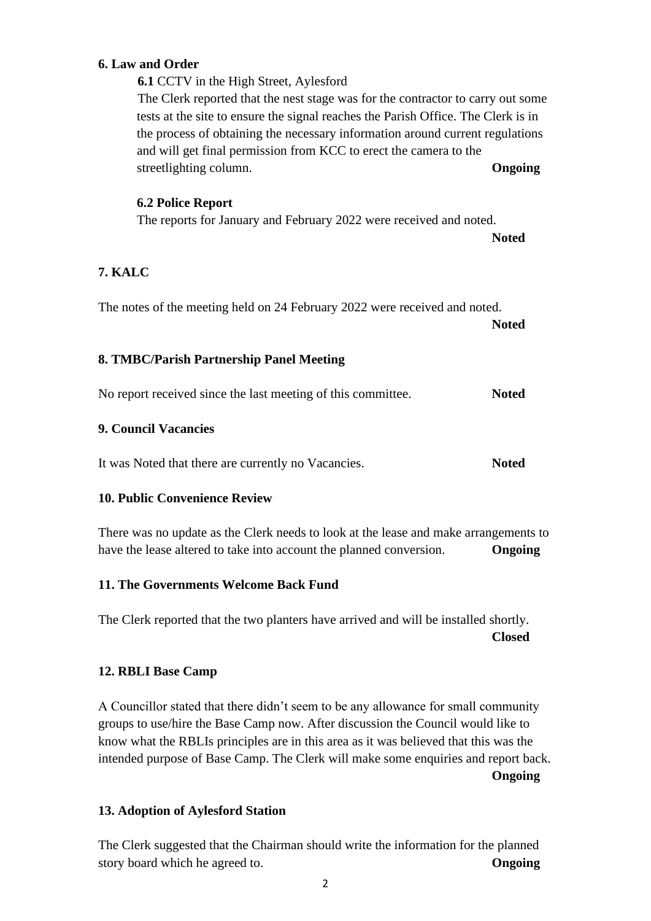#### **6. Law and Order**

**6.1** CCTV in the High Street, Aylesford The Clerk reported that the nest stage was for the contractor to carry out some tests at the site to ensure the signal reaches the Parish Office. The Clerk is in the process of obtaining the necessary information around current regulations and will get final permission from KCC to erect the camera to the streetlighting column. **Ongoing**

#### **6.2 Police Report**

The reports for January and February 2022 were received and noted.

**Noted**

### **7. KALC**

The notes of the meeting held on 24 February 2022 were received and noted.

**Noted**

### **8. TMBC/Parish Partnership Panel Meeting**

No report received since the last meeting of this committee. **Noted** 

## **9. Council Vacancies**

It was Noted that there are currently no Vacancies. **Noted**

#### **10. Public Convenience Review**

There was no update as the Clerk needs to look at the lease and make arrangements to have the lease altered to take into account the planned conversion. **Ongoing**

### **11. The Governments Welcome Back Fund**

The Clerk reported that the two planters have arrived and will be installed shortly. **Closed**

#### **12. RBLI Base Camp**

A Councillor stated that there didn't seem to be any allowance for small community groups to use/hire the Base Camp now. After discussion the Council would like to know what the RBLIs principles are in this area as it was believed that this was the intended purpose of Base Camp. The Clerk will make some enquiries and report back. **Ongoing**

### **13. Adoption of Aylesford Station**

The Clerk suggested that the Chairman should write the information for the planned story board which he agreed to. **Ongoing**